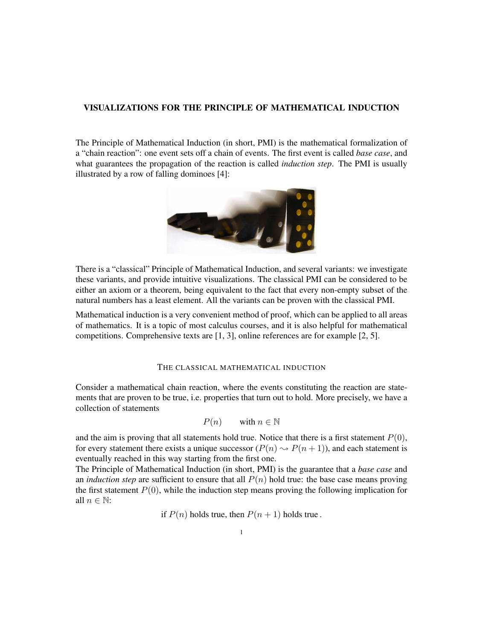# VISUALIZATIONS FOR THE PRINCIPLE OF MATHEMATICAL INDUCTION

The Principle of Mathematical Induction (in short, PMI) is the mathematical formalization of a "chain reaction": one event sets off a chain of events. The first event is called *base case*, and what guarantees the propagation of the reaction is called *induction step*. The PMI is usually illustrated by a row of falling dominoes [\[4\]](#page-8-0):



There is a "classical" Principle of Mathematical Induction, and several variants: we investigate these variants, and provide intuitive visualizations. The classical PMI can be considered to be either an axiom or a theorem, being equivalent to the fact that every non-empty subset of the natural numbers has a least element. All the variants can be proven with the classical PMI.

Mathematical induction is a very convenient method of proof, which can be applied to all areas of mathematics. It is a topic of most calculus courses, and it is also helpful for mathematical competitions. Comprehensive texts are [\[1,](#page-8-1) [3\]](#page-8-2), online references are for example [\[2,](#page-8-3) [5\]](#page-8-4).

### THE CLASSICAL MATHEMATICAL INDUCTION

Consider a mathematical chain reaction, where the events constituting the reaction are statements that are proven to be true, i.e. properties that turn out to hold. More precisely, we have a collection of statements

$$
P(n) \qquad \text{with } n \in \mathbb{N}
$$

and the aim is proving that all statements hold true. Notice that there is a first statement  $P(0)$ , for every statement there exists a unique successor  $(P(n) \sim P(n + 1))$ , and each statement is eventually reached in this way starting from the first one.

The Principle of Mathematical Induction (in short, PMI) is the guarantee that a *base case* and an *induction step* are sufficient to ensure that all  $P(n)$  hold true: the base case means proving the first statement  $P(0)$ , while the induction step means proving the following implication for all  $n \in \mathbb{N}$ :

if  $P(n)$  holds true, then  $P(n + 1)$  holds true.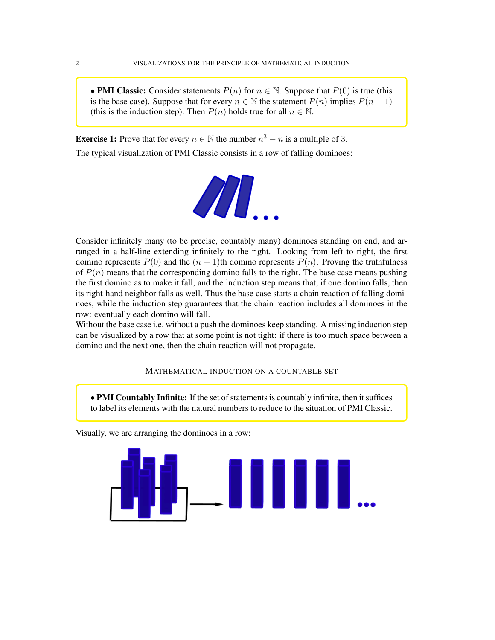• PMI Classic: Consider statements  $P(n)$  for  $n \in \mathbb{N}$ . Suppose that  $P(0)$  is true (this is the base case). Suppose that for every  $n \in \mathbb{N}$  the statement  $P(n)$  implies  $P(n + 1)$ (this is the induction step). Then  $P(n)$  holds true for all  $n \in \mathbb{N}$ .

**Exercise 1:** Prove that for every  $n \in \mathbb{N}$  the number  $n^3 - n$  is a multiple of 3.

The typical visualization of PMI Classic consists in a row of falling dominoes:



Consider infinitely many (to be precise, countably many) dominoes standing on end, and arranged in a half-line extending infinitely to the right. Looking from left to right, the first domino represents  $P(0)$  and the  $(n + 1)$ th domino represents  $P(n)$ . Proving the truthfulness of  $P(n)$  means that the corresponding domino falls to the right. The base case means pushing the first domino as to make it fall, and the induction step means that, if one domino falls, then its right-hand neighbor falls as well. Thus the base case starts a chain reaction of falling dominoes, while the induction step guarantees that the chain reaction includes all dominoes in the row: eventually each domino will fall.

Without the base case i.e. without a push the dominoes keep standing. A missing induction step can be visualized by a row that at some point is not tight: if there is too much space between a domino and the next one, then the chain reaction will not propagate.

## MATHEMATICAL INDUCTION ON A COUNTABLE SET

• PMI Countably Infinite: If the set of statements is countably infinite, then it suffices to label its elements with the natural numbers to reduce to the situation of PMI Classic.

Visually, we are arranging the dominoes in a row:

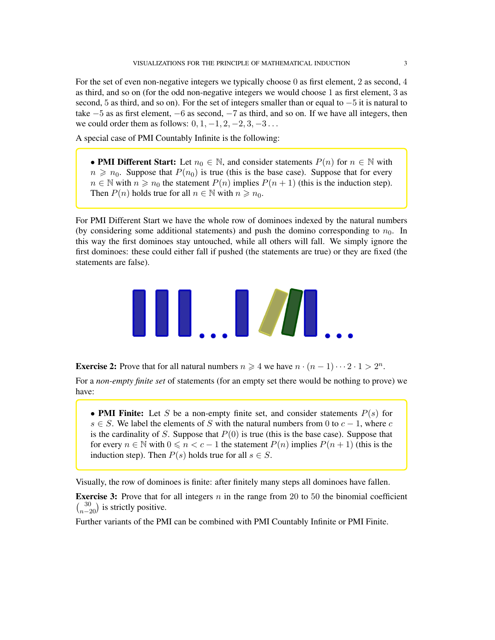A special case of PMI Countably Infinite is the following:

• PMI Different Start: Let  $n_0 \in \mathbb{N}$ , and consider statements  $P(n)$  for  $n \in \mathbb{N}$  with  $n \geq n_0$ . Suppose that  $P(n_0)$  is true (this is the base case). Suppose that for every  $n \in \mathbb{N}$  with  $n \geq n_0$  the statement  $P(n)$  implies  $P(n+1)$  (this is the induction step). Then  $P(n)$  holds true for all  $n \in \mathbb{N}$  with  $n \ge n_0$ .

For PMI Different Start we have the whole row of dominoes indexed by the natural numbers (by considering some additional statements) and push the domino corresponding to  $n_0$ . In this way the first dominoes stay untouched, while all others will fall. We simply ignore the first dominoes: these could either fall if pushed (the statements are true) or they are fixed (the statements are false).



**Exercise 2:** Prove that for all natural numbers  $n \ge 4$  we have  $n \cdot (n-1) \cdot \cdot \cdot 2 \cdot 1 > 2^n$ .

For a *non-empty finite set* of statements (for an empty set there would be nothing to prove) we have:

• PMI Finite: Let S be a non-empty finite set, and consider statements  $P(s)$  for  $s \in S$ . We label the elements of S with the natural numbers from 0 to  $c - 1$ , where c is the cardinality of S. Suppose that  $P(0)$  is true (this is the base case). Suppose that for every  $n \in \mathbb{N}$  with  $0 \le n < c - 1$  the statement  $P(n)$  implies  $P(n + 1)$  (this is the induction step). Then  $P(s)$  holds true for all  $s \in S$ .

Visually, the row of dominoes is finite: after finitely many steps all dominoes have fallen.

**Exercise 3:** Prove that for all integers n in the range from 20 to 50 the binomial coefficient  $\binom{30}{n-20}$  is strictly positive.

Further variants of the PMI can be combined with PMI Countably Infinite or PMI Finite.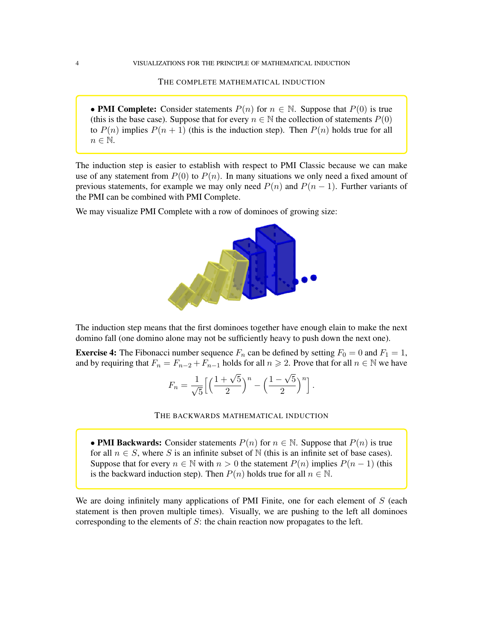THE COMPLETE MATHEMATICAL INDUCTION

• **PMI Complete:** Consider statements  $P(n)$  for  $n \in \mathbb{N}$ . Suppose that  $P(0)$  is true (this is the base case). Suppose that for every  $n \in \mathbb{N}$  the collection of statements  $P(0)$ to  $P(n)$  implies  $P(n + 1)$  (this is the induction step). Then  $P(n)$  holds true for all  $n \in \mathbb{N}$ .

The induction step is easier to establish with respect to PMI Classic because we can make use of any statement from  $P(0)$  to  $P(n)$ . In many situations we only need a fixed amount of previous statements, for example we may only need  $P(n)$  and  $P(n - 1)$ . Further variants of the PMI can be combined with PMI Complete.

We may visualize PMI Complete with a row of dominoes of growing size:



The induction step means that the first dominoes together have enough elain to make the next domino fall (one domino alone may not be sufficiently heavy to push down the next one).

**Exercise 4:** The Fibonacci number sequence  $F_n$  can be defined by setting  $F_0 = 0$  and  $F_1 = 1$ , and by requiring that  $F_n = F_{n-2} + F_{n-1}$  holds for all  $n \ge 2$ . Prove that for all  $n \in \mathbb{N}$  we have

$$
F_n = \frac{1}{\sqrt{5}} \Big[ \Big( \frac{1 + \sqrt{5}}{2} \Big)^n - \Big( \frac{1 - \sqrt{5}}{2} \Big)^n \Big].
$$

#### THE BACKWARDS MATHEMATICAL INDUCTION

• PMI Backwards: Consider statements  $P(n)$  for  $n \in \mathbb{N}$ . Suppose that  $P(n)$  is true for all  $n \in S$ , where S is an infinite subset of N (this is an infinite set of base cases). Suppose that for every  $n \in \mathbb{N}$  with  $n > 0$  the statement  $P(n)$  implies  $P(n-1)$  (this is the backward induction step). Then  $P(n)$  holds true for all  $n \in \mathbb{N}$ .

We are doing infinitely many applications of PMI Finite, one for each element of  $S$  (each statement is then proven multiple times). Visually, we are pushing to the left all dominoes corresponding to the elements of  $S$ : the chain reaction now propagates to the left.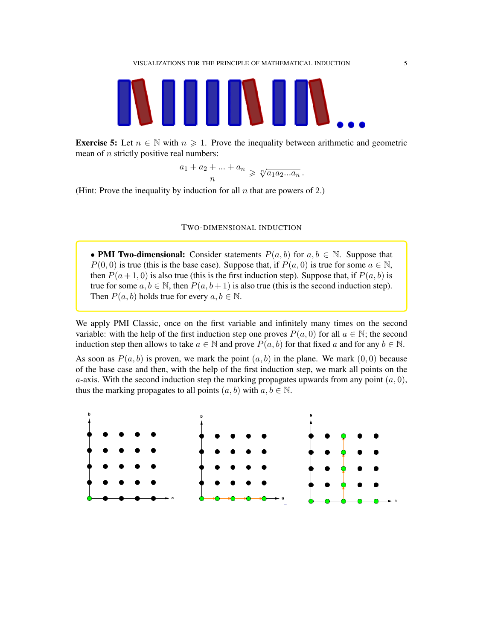

**Exercise 5:** Let  $n \in \mathbb{N}$  with  $n \ge 1$ . Prove the inequality between arithmetic and geometric mean of *n* strictly positive real numbers:

> $a_1 + a_2 + \ldots + a_n$ n  $\geqslant \sqrt[n]{a_1 a_2 ... a_n}$ .

(Hint: Prove the inequality by induction for all  $n$  that are powers of 2.)

#### TWO-DIMENSIONAL INDUCTION

• PMI Two-dimensional: Consider statements  $P(a, b)$  for  $a, b \in \mathbb{N}$ . Suppose that  $P(0, 0)$  is true (this is the base case). Suppose that, if  $P(a, 0)$  is true for some  $a \in \mathbb{N}$ , then  $P(a+1, 0)$  is also true (this is the first induction step). Suppose that, if  $P(a, b)$  is true for some  $a, b \in \mathbb{N}$ , then  $P(a, b+1)$  is also true (this is the second induction step). Then  $P(a, b)$  holds true for every  $a, b \in \mathbb{N}$ .

We apply PMI Classic, once on the first variable and infinitely many times on the second variable: with the help of the first induction step one proves  $P(a, 0)$  for all  $a \in \mathbb{N}$ ; the second induction step then allows to take  $a \in \mathbb{N}$  and prove  $P(a, b)$  for that fixed a and for any  $b \in \mathbb{N}$ .

As soon as  $P(a, b)$  is proven, we mark the point  $(a, b)$  in the plane. We mark  $(0, 0)$  because of the base case and then, with the help of the first induction step, we mark all points on the a-axis. With the second induction step the marking propagates upwards from any point  $(a, 0)$ , thus the marking propagates to all points  $(a, b)$  with  $a, b \in \mathbb{N}$ .

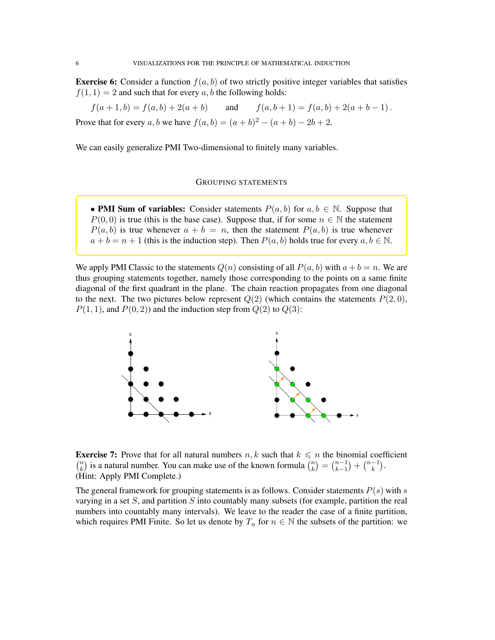**Exercise 6:** Consider a function  $f(a, b)$  of two strictly positive integer variables that satisfies  $f(1, 1) = 2$  and such that for every a, b the following holds:

 $f(a+1,b) = f(a,b) + 2(a+b)$  and  $f(a,b+1) = f(a,b) + 2(a+b-1)$ . Prove that for every a, b we have  $f(a, b) = (a + b)^2 - (a + b) - 2b + 2$ .

We can easily generalize PMI Two-dimensional to finitely many variables.

### GROUPING STATEMENTS

• PMI Sum of variables: Consider statements  $P(a, b)$  for  $a, b \in \mathbb{N}$ . Suppose that  $P(0, 0)$  is true (this is the base case). Suppose that, if for some  $n \in \mathbb{N}$  the statement  $P(a, b)$  is true whenever  $a + b = n$ , then the statement  $P(a, b)$  is true whenever  $a + b = n + 1$  (this is the induction step). Then  $P(a, b)$  holds true for every  $a, b \in \mathbb{N}$ .

We apply PMI Classic to the statements  $Q(n)$  consisting of all  $P(a, b)$  with  $a + b = n$ . We are thus grouping statements together, namely those corresponding to the points on a same finite diagonal of the first quadrant in the plane. The chain reaction propagates from one diagonal to the next. The two pictures below represent  $Q(2)$  (which contains the statements  $P(2, 0)$ ,  $P(1, 1)$ , and  $P(0, 2)$  and the induction step from  $Q(2)$  to  $Q(3)$ :



**Exercise 7:** Prove that for all natural numbers  $n, k$  such that  $k \leq n$  the binomial coefficient  $\binom{n}{k}$  $\binom{n}{k}$  is a natural number. You can make use of the known formula  $\binom{n}{k}$  $\binom{n}{k} = \binom{n-1}{k-1}$  $\binom{n-1}{k+1} + \binom{n-1}{k}$  $\binom{-1}{k}$ . (Hint: Apply PMI Complete.)

The general framework for grouping statements is as follows. Consider statements  $P(s)$  with s varying in a set  $S$ , and partition  $S$  into countably many subsets (for example, partition the real numbers into countably many intervals). We leave to the reader the case of a finite partition, which requires PMI Finite. So let us denote by  $T_n$  for  $n \in \mathbb{N}$  the subsets of the partition: we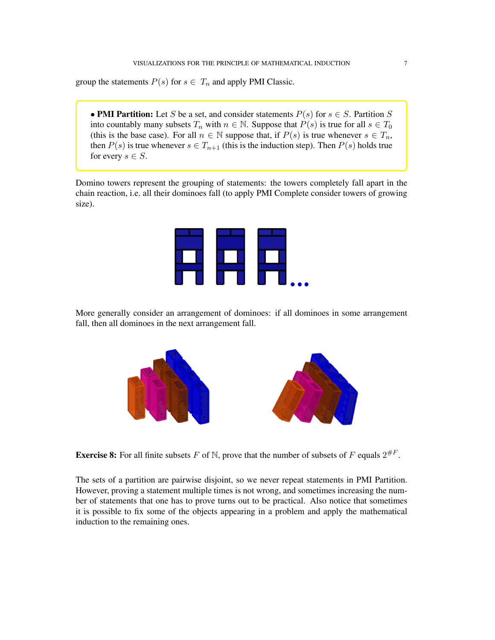group the statements  $P(s)$  for  $s \in T_n$  and apply PMI Classic.

• PMI Partition: Let S be a set, and consider statements  $P(s)$  for  $s \in S$ . Partition S into countably many subsets  $T_n$  with  $n \in \mathbb{N}$ . Suppose that  $P(s)$  is true for all  $s \in T_0$ (this is the base case). For all  $n \in \mathbb{N}$  suppose that, if  $P(s)$  is true whenever  $s \in T_n$ , then  $P(s)$  is true whenever  $s \in T_{n+1}$  (this is the induction step). Then  $P(s)$  holds true for every  $s \in S$ .

Domino towers represent the grouping of statements: the towers completely fall apart in the chain reaction, i.e. all their dominoes fall (to apply PMI Complete consider towers of growing size).



More generally consider an arrangement of dominoes: if all dominoes in some arrangement fall, then all dominoes in the next arrangement fall.



**Exercise 8:** For all finite subsets F of N, prove that the number of subsets of F equals  $2^{\#F}$ .

The sets of a partition are pairwise disjoint, so we never repeat statements in PMI Partition. However, proving a statement multiple times is not wrong, and sometimes increasing the number of statements that one has to prove turns out to be practical. Also notice that sometimes it is possible to fix some of the objects appearing in a problem and apply the mathematical induction to the remaining ones.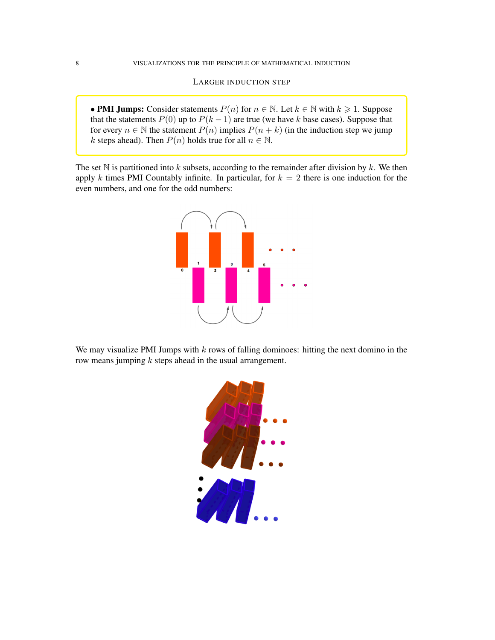LARGER INDUCTION STEP

• PMI Jumps: Consider statements  $P(n)$  for  $n \in \mathbb{N}$ . Let  $k \in \mathbb{N}$  with  $k \ge 1$ . Suppose that the statements  $P(0)$  up to  $P(k-1)$  are true (we have k base cases). Suppose that for every  $n \in \mathbb{N}$  the statement  $P(n)$  implies  $P(n + k)$  (in the induction step we jump k steps ahead). Then  $P(n)$  holds true for all  $n \in \mathbb{N}$ .

The set N is partitioned into k subsets, according to the remainder after division by k. We then apply k times PMI Countably infinite. In particular, for  $k = 2$  there is one induction for the even numbers, and one for the odd numbers:



We may visualize PMI Jumps with  $k$  rows of falling dominoes: hitting the next domino in the row means jumping k steps ahead in the usual arrangement.

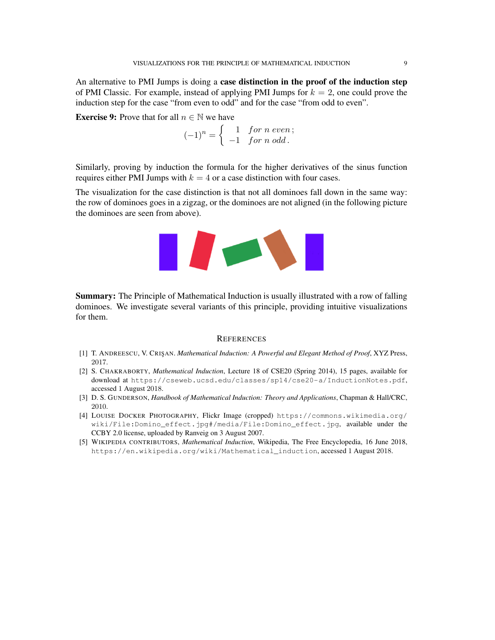An alternative to PMI Jumps is doing a case distinction in the proof of the induction step of PMI Classic. For example, instead of applying PMI Jumps for  $k = 2$ , one could prove the induction step for the case "from even to odd" and for the case "from odd to even".

**Exercise 9:** Prove that for all  $n \in \mathbb{N}$  we have

$$
(-1)^n = \begin{cases} 1 & \text{for } n \text{ even}; \\ -1 & \text{for } n \text{ odd}. \end{cases}
$$

Similarly, proving by induction the formula for the higher derivatives of the sinus function requires either PMI Jumps with  $k = 4$  or a case distinction with four cases.

The visualization for the case distinction is that not all dominoes fall down in the same way: the row of dominoes goes in a zigzag, or the dominoes are not aligned (in the following picture the dominoes are seen from above).



Summary: The Principle of Mathematical Induction is usually illustrated with a row of falling dominoes. We investigate several variants of this principle, providing intuitive visualizations for them.

### **REFERENCES**

- <span id="page-8-1"></span>[1] T. ANDREESCU, V. CRIS¸AN. *Mathematical Induction: A Powerful and Elegant Method of Proof*, XYZ Press, 2017.
- <span id="page-8-3"></span>[2] S. CHAKRABORTY, *Mathematical Induction*, Lecture 18 of CSE20 (Spring 2014), 15 pages, available for download at [https://cseweb.ucsd.edu/classes/sp14/cse20-a/InductionNotes.pdf](https://cseweb.ucsd.edu/classes/sp14/cse20-a/InductionNotes.pdf ), accessed 1 August 2018.
- <span id="page-8-2"></span>[3] D. S. GUNDERSON, *Handbook of Mathematical Induction: Theory and Applications*, Chapman & Hall/CRC, 2010.
- <span id="page-8-0"></span>[4] LOUISE DOCKER PHOTOGRAPHY, Flickr Image (cropped) [https://commons.wikimedia.org/](https://commons.wikimedia.org/wiki/File:Domino_effect.jpg#/media/File:Domino_effect.jpg) [wiki/File:Domino\\_effect.jpg#/media/File:Domino\\_effect.jpg](https://commons.wikimedia.org/wiki/File:Domino_effect.jpg#/media/File:Domino_effect.jpg), available under the CCBY 2.0 license, uploaded by Ranveig on 3 August 2007.
- <span id="page-8-4"></span>[5] WIKIPEDIA CONTRIBUTORS, *Mathematical Induction*, Wikipedia, The Free Encyclopedia, 16 June 2018, [https://en.wikipedia.org/wiki/Mathematical\\_induction](https://en.wikipedia.org/wiki/Mathematical_induction), accessed 1 August 2018.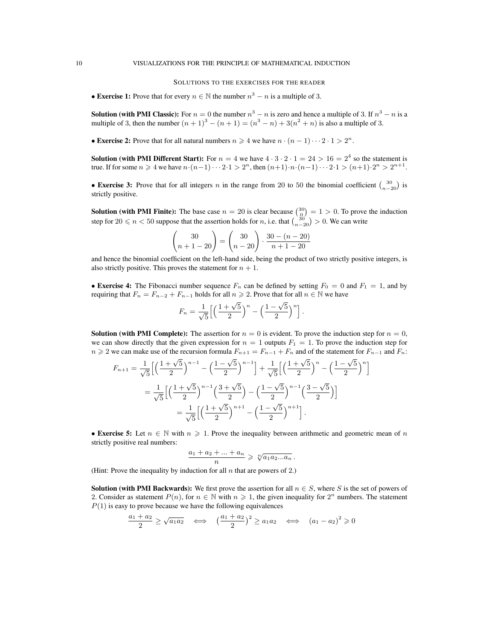#### SOLUTIONS TO THE EXERCISES FOR THE READER

• Exercise 1: Prove that for every  $n \in \mathbb{N}$  the number  $n^3 - n$  is a multiple of 3.

**Solution (with PMI Classic):** For  $n = 0$  the number  $n^3 - n$  is zero and hence a multiple of 3. If  $n^3 - n$  is a multiple of 3, then the number  $(n + 1)^3 - (n + 1) = (n^3 - n) + 3(n^2 + n)$  is also a multiple of 3.

• Exercise 2: Prove that for all natural numbers  $n \geq 4$  we have  $n \cdot (n-1) \cdots 2 \cdot 1 > 2^n$ .

**Solution (with PMI Different Start):** For  $n = 4$  we have  $4 \cdot 3 \cdot 2 \cdot 1 = 24 > 16 = 2^4$  so the statement is true. If for some  $n \geq 4$  we have  $n \cdot (n-1) \cdot \cdot \cdot 2 \cdot 1 > 2^n$ , then  $(n+1) \cdot n \cdot (n-1) \cdot \cdot \cdot 2 \cdot 1 > (n+1) \cdot 2^n > 2^{n+1}$ .

• Exercise 3: Prove that for all integers *n* in the range from 20 to 50 the binomial coefficient  $\binom{30}{n-20}$  is strictly positive.

**Solution (with PMI Finite):** The base case  $n = 20$  is clear because  $\binom{30}{0} = 1 > 0$ . To prove the induction step for  $20 \le n < 50$  suppose that the assertion holds for n, i.e. that  $\binom{30}{n-20} > 0$ . We can write

$$
\begin{pmatrix} 30 \\ n+1-20 \end{pmatrix} = \begin{pmatrix} 30 \\ n-20 \end{pmatrix} \cdot \frac{30 - (n-20)}{n+1-20}
$$

and hence the binomial coefficient on the left-hand side, being the product of two strictly positive integers, is also strictly positive. This proves the statement for  $n + 1$ .

• Exercise 4: The Fibonacci number sequence  $F_n$  can be defined by setting  $F_0 = 0$  and  $F_1 = 1$ , and by requiring that  $F_n = F_{n-2} + F_{n-1}$  holds for all  $n \ge 2$ . Prove that for all  $n \in \mathbb{N}$  we have

$$
F_n = \frac{1}{\sqrt{5}} \left[ \left( \frac{1 + \sqrt{5}}{2} \right)^n - \left( \frac{1 - \sqrt{5}}{2} \right)^n \right].
$$

**Solution (with PMI Complete):** The assertion for  $n = 0$  is evident. To prove the induction step for  $n = 0$ , we can show directly that the given expression for  $n = 1$  outputs  $F_1 = 1$ . To prove the induction step for  $n \geq 2$  we can make use of the recursion formula  $F_{n+1} = F_{n-1} + F_n$  and of the statement for  $F_{n-1}$  and  $F_n$ :

$$
F_{n+1} = \frac{1}{\sqrt{5}} \Big[ \Big( \frac{1+\sqrt{5}}{2} \Big)^{n-1} - \Big( \frac{1-\sqrt{5}}{2} \Big)^{n-1} \Big] + \frac{1}{\sqrt{5}} \Big[ \Big( \frac{1+\sqrt{5}}{2} \Big)^{n} - \Big( \frac{1-\sqrt{5}}{2} \Big)^{n} \Big]
$$
  
= 
$$
\frac{1}{\sqrt{5}} \Big[ \Big( \frac{1+\sqrt{5}}{2} \Big)^{n-1} \Big( \frac{3+\sqrt{5}}{2} \Big) - \Big( \frac{1-\sqrt{5}}{2} \Big)^{n-1} \Big( \frac{3-\sqrt{5}}{2} \Big) \Big]
$$
  
= 
$$
\frac{1}{\sqrt{5}} \Big[ \Big( \frac{1+\sqrt{5}}{2} \Big)^{n+1} - \Big( \frac{1-\sqrt{5}}{2} \Big)^{n+1} \Big].
$$

• Exercise 5: Let  $n \in \mathbb{N}$  with  $n \geq 1$ . Prove the inequality between arithmetic and geometric mean of n strictly positive real numbers:

$$
\frac{a_1 + a_2 + \ldots + a_n}{n} \geqslant \sqrt[n]{a_1 a_2 \ldots a_n} \, .
$$

(Hint: Prove the inequality by induction for all  $n$  that are powers of 2.)

**Solution (with PMI Backwards):** We first prove the assertion for all  $n \in S$ , where S is the set of powers of 2. Consider as statement  $P(n)$ , for  $n \in \mathbb{N}$  with  $n \geq 1$ , the given inequality for  $2^n$  numbers. The statement  $P(1)$  is easy to prove because we have the following equivalences

$$
\frac{a_1 + a_2}{2} \ge \sqrt{a_1 a_2} \quad \Longleftrightarrow \quad \left(\frac{a_1 + a_2}{2}\right)^2 \ge a_1 a_2 \quad \Longleftrightarrow \quad (a_1 - a_2)^2 \ge 0
$$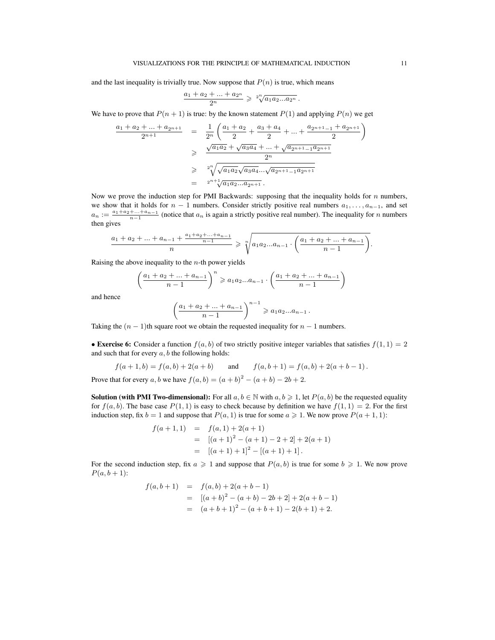and the last inequality is trivially true. Now suppose that  $P(n)$  is true, which means

$$
\frac{a_1 + a_2 + \ldots + a_{2^n}}{2^n} \geqslant \sqrt[2^n]{a_1 a_2 \ldots a_{2^n}}.
$$

We have to prove that  $P(n + 1)$  is true: by the known statement  $P(1)$  and applying  $P(n)$  we get

$$
\frac{a_1 + a_2 + \dots + a_{2n+1}}{2^{n+1}} = \frac{1}{2^n} \left( \frac{a_1 + a_2}{2} + \frac{a_3 + a_4}{2} + \dots + \frac{a_{2n+1-1} + a_{2n+1}}{2} \right)
$$
  
\n
$$
\geq \frac{\sqrt{a_1 a_2} + \sqrt{a_3 a_4} + \dots + \sqrt{a_{2n+1-1} a_{2n+1}}}{2^n}
$$
  
\n
$$
\geq \sqrt[n]{\sqrt{a_1 a_2} \sqrt{a_3 a_4} \dots \sqrt{a_{2n+1-1} a_{2n+1}}}
$$
  
\n
$$
= 2^{n+1} \sqrt{a_1 a_2 \dots a_{2n+1}}.
$$

Now we prove the induction step for PMI Backwards: supposing that the inequality holds for  $n$  numbers, we show that it holds for  $n - 1$  numbers. Consider strictly positive real numbers  $a_1, \ldots, a_{n-1}$ , and set  $a_n := \frac{a_1 + a_2 + \dots + a_{n-1}}{n-1}$  (notice that  $a_n$  is again a strictly positive real number). The inequality for n numbers then gives

$$
\frac{a_1 + a_2 + \ldots + a_{n-1} + \frac{a_1 + a_2 + \ldots + a_{n-1}}{n-1}}{n} \geq \sqrt[n]{a_1 a_2 \ldots a_{n-1} \cdot \left(\frac{a_1 + a_2 + \ldots + a_{n-1}}{n-1}\right)}.
$$

Raising the above inequality to the  $n$ -th power yields

$$
\left(\frac{a_1 + a_2 + \dots + a_{n-1}}{n-1}\right)^n \geq a_1 a_2 \dots a_{n-1} \cdot \left(\frac{a_1 + a_2 + \dots + a_{n-1}}{n-1}\right)
$$

and hence

$$
\left(\frac{a_1 + a_2 + \dots + a_{n-1}}{n-1}\right)^{n-1} \geq a_1 a_2 ... a_{n-1}.
$$

Taking the  $(n - 1)$ th square root we obtain the requested inequality for  $n - 1$  numbers.

• Exercise 6: Consider a function  $f(a, b)$  of two strictly positive integer variables that satisfies  $f(1, 1) = 2$ and such that for every  $a, b$  the following holds:

$$
f(a+1,b) = f(a,b) + 2(a+b)
$$
 and  $f(a,b+1) = f(a,b) + 2(a+b-1)$ .

Prove that for every  $a, b$  we have  $f(a, b) = (a + b)^2 - (a + b) - 2b + 2$ .

**Solution (with PMI Two-dimensional):** For all  $a, b \in \mathbb{N}$  with  $a, b \ge 1$ , let  $P(a, b)$  be the requested equality for  $f(a, b)$ . The base case  $P(1, 1)$  is easy to check because by definition we have  $f(1, 1) = 2$ . For the first induction step, fix  $b = 1$  and suppose that  $P(a, 1)$  is true for some  $a \ge 1$ . We now prove  $P(a + 1, 1)$ :

$$
f(a+1,1) = f(a,1) + 2(a+1)
$$
  
= 
$$
[(a+1)^2 - (a+1) - 2 + 2] + 2(a+1)
$$
  
= 
$$
[(a+1) + 1]^2 - [(a+1) + 1].
$$

For the second induction step, fix  $a \geq 1$  and suppose that  $P(a, b)$  is true for some  $b \geq 1$ . We now prove  $P(a, b + 1)$ :

$$
f(a,b+1) = f(a,b) + 2(a+b-1)
$$
  
= 
$$
[(a+b)^2 - (a+b) - 2b + 2] + 2(a+b-1)
$$
  
= 
$$
(a+b+1)^2 - (a+b+1) - 2(b+1) + 2.
$$